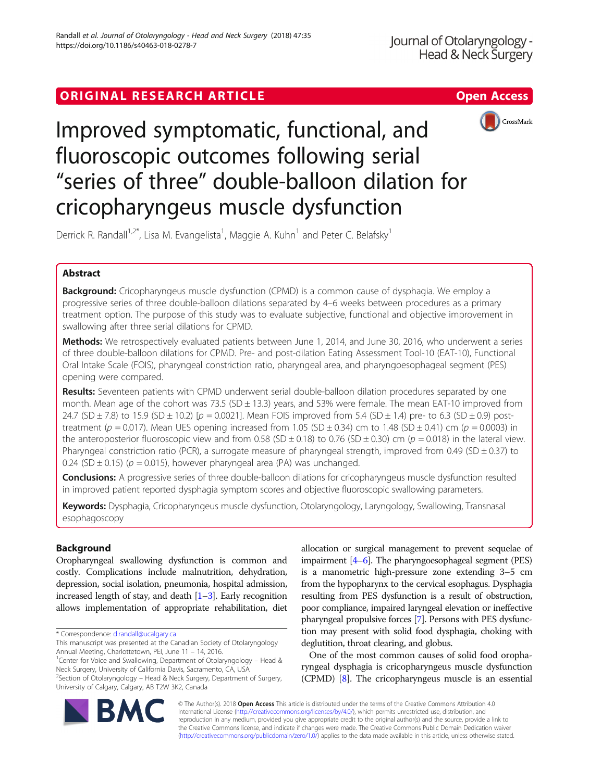# ORIGINAL RESEARCH ARTICLE **Solution Contract Contract Contract Contract Contract Contract Contract Contract Contract Contract Contract Contract Contract Contract Contract Contract Contract Contract Contract Contract Contra**



Improved symptomatic, functional, and fluoroscopic outcomes following serial "series of three" double-balloon dilation for cricopharyngeus muscle dysfunction

Derrick R. Randall<sup>1,2\*</sup>, Lisa M. Evangelista<sup>1</sup>, Maggie A. Kuhn<sup>1</sup> and Peter C. Belafsky<sup>1</sup>

## Abstract

Background: Cricopharyngeus muscle dysfunction (CPMD) is a common cause of dysphagia. We employ a progressive series of three double-balloon dilations separated by 4–6 weeks between procedures as a primary treatment option. The purpose of this study was to evaluate subjective, functional and objective improvement in swallowing after three serial dilations for CPMD.

Methods: We retrospectively evaluated patients between June 1, 2014, and June 30, 2016, who underwent a series of three double-balloon dilations for CPMD. Pre- and post-dilation Eating Assessment Tool-10 (EAT-10), Functional Oral Intake Scale (FOIS), pharyngeal constriction ratio, pharyngeal area, and pharyngoesophageal segment (PES) opening were compared.

Results: Seventeen patients with CPMD underwent serial double-balloon dilation procedures separated by one month. Mean age of the cohort was 73.5 (SD ± 13.3) years, and 53% were female. The mean EAT-10 improved from 24.7 (SD  $\pm$  7.8) to 15.9 (SD  $\pm$  10.2) [p = 0.0021]. Mean FOIS improved from 5.4 (SD  $\pm$  1.4) pre- to 6.3 (SD  $\pm$  0.9) posttreatment ( $p = 0.017$ ). Mean UES opening increased from 1.05 (SD ± 0.34) cm to 1.48 (SD ± 0.41) cm ( $p = 0.0003$ ) in the anteroposterior fluoroscopic view and from 0.58 (SD  $\pm$  0.18) to 0.76 (SD  $\pm$  0.30) cm ( $p = 0.018$ ) in the lateral view. Pharyngeal constriction ratio (PCR), a surrogate measure of pharyngeal strength, improved from 0.49 (SD  $\pm$  0.37) to 0.24 (SD  $\pm$  0.15) ( $p = 0.015$ ), however pharyngeal area (PA) was unchanged.

**Conclusions:** A progressive series of three double-balloon dilations for cricopharyngeus muscle dysfunction resulted in improved patient reported dysphagia symptom scores and objective fluoroscopic swallowing parameters.

Keywords: Dysphagia, Cricopharyngeus muscle dysfunction, Otolaryngology, Laryngology, Swallowing, Transnasal esophagoscopy

## Background

Oropharyngeal swallowing dysfunction is common and costly. Complications include malnutrition, dehydration, depression, social isolation, pneumonia, hospital admission, increased length of stay, and death [[1](#page-6-0)–[3\]](#page-6-0). Early recognition allows implementation of appropriate rehabilitation, diet

University of Calgary, Calgary, AB T2W 3K2, Canada

allocation or surgical management to prevent sequelae of impairment [[4](#page-6-0)–[6\]](#page-6-0). The pharyngoesophageal segment (PES) is a manometric high-pressure zone extending 3–5 cm from the hypopharynx to the cervical esophagus. Dysphagia resulting from PES dysfunction is a result of obstruction, poor compliance, impaired laryngeal elevation or ineffective pharyngeal propulsive forces [[7](#page-6-0)]. Persons with PES dysfunction may present with solid food dysphagia, choking with deglutition, throat clearing, and globus.

One of the most common causes of solid food oropharyngeal dysphagia is cricopharyngeus muscle dysfunction (CPMD) [[8\]](#page-6-0). The cricopharyngeus muscle is an essential



© The Author(s). 2018 Open Access This article is distributed under the terms of the Creative Commons Attribution 4.0 International License [\(http://creativecommons.org/licenses/by/4.0/](http://creativecommons.org/licenses/by/4.0/)), which permits unrestricted use, distribution, and reproduction in any medium, provided you give appropriate credit to the original author(s) and the source, provide a link to the Creative Commons license, and indicate if changes were made. The Creative Commons Public Domain Dedication waiver [\(http://creativecommons.org/publicdomain/zero/1.0/](http://creativecommons.org/publicdomain/zero/1.0/)) applies to the data made available in this article, unless otherwise stated.

<sup>\*</sup> Correspondence: [d.randall@ucalgary.ca](mailto:d.randall@ucalgary.ca)

This manuscript was presented at the Canadian Society of Otolaryngology Annual Meeting, Charlottetown, PEI, June 11 – 14, 2016. <sup>1</sup>

<sup>&</sup>lt;sup>1</sup> Center for Voice and Swallowing, Department of Otolaryngology - Head & Neck Surgery, University of California Davis, Sacramento, CA, USA <sup>2</sup>Section of Otolaryngology – Head & Neck Surgery, Department of Surgery,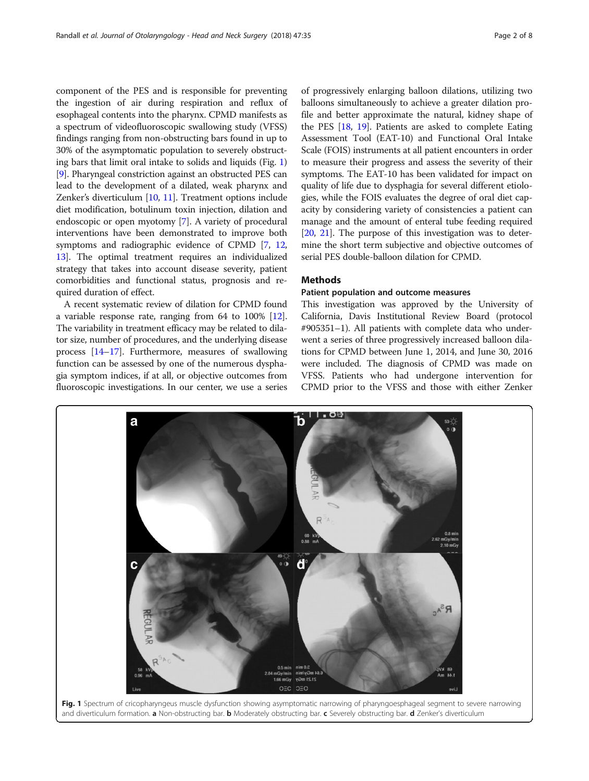component of the PES and is responsible for preventing the ingestion of air during respiration and reflux of esophageal contents into the pharynx. CPMD manifests as a spectrum of videofluoroscopic swallowing study (VFSS) findings ranging from non-obstructing bars found in up to 30% of the asymptomatic population to severely obstructing bars that limit oral intake to solids and liquids (Fig. 1) [[9\]](#page-6-0). Pharyngeal constriction against an obstructed PES can lead to the development of a dilated, weak pharynx and Zenker's diverticulum [\[10,](#page-6-0) [11\]](#page-6-0). Treatment options include diet modification, botulinum toxin injection, dilation and endoscopic or open myotomy [[7\]](#page-6-0). A variety of procedural interventions have been demonstrated to improve both symptoms and radiographic evidence of CPMD [[7,](#page-6-0) [12](#page-6-0), [13](#page-6-0)]. The optimal treatment requires an individualized strategy that takes into account disease severity, patient comorbidities and functional status, prognosis and required duration of effect.

A recent systematic review of dilation for CPMD found a variable response rate, ranging from 64 to 100% [[12](#page-6-0)]. The variability in treatment efficacy may be related to dilator size, number of procedures, and the underlying disease process [\[14](#page-6-0)–[17](#page-6-0)]. Furthermore, measures of swallowing function can be assessed by one of the numerous dysphagia symptom indices, if at all, or objective outcomes from fluoroscopic investigations. In our center, we use a series

of progressively enlarging balloon dilations, utilizing two balloons simultaneously to achieve a greater dilation profile and better approximate the natural, kidney shape of the PES [\[18,](#page-6-0) [19\]](#page-6-0). Patients are asked to complete Eating Assessment Tool (EAT-10) and Functional Oral Intake Scale (FOIS) instruments at all patient encounters in order to measure their progress and assess the severity of their symptoms. The EAT-10 has been validated for impact on quality of life due to dysphagia for several different etiologies, while the FOIS evaluates the degree of oral diet capacity by considering variety of consistencies a patient can manage and the amount of enteral tube feeding required [[20](#page-6-0), [21](#page-6-0)]. The purpose of this investigation was to determine the short term subjective and objective outcomes of serial PES double-balloon dilation for CPMD.

## **Methods**

## Patient population and outcome measures

This investigation was approved by the University of California, Davis Institutional Review Board (protocol #905351–1). All patients with complete data who underwent a series of three progressively increased balloon dilations for CPMD between June 1, 2014, and June 30, 2016 were included. The diagnosis of CPMD was made on VFSS. Patients who had undergone intervention for CPMD prior to the VFSS and those with either Zenker

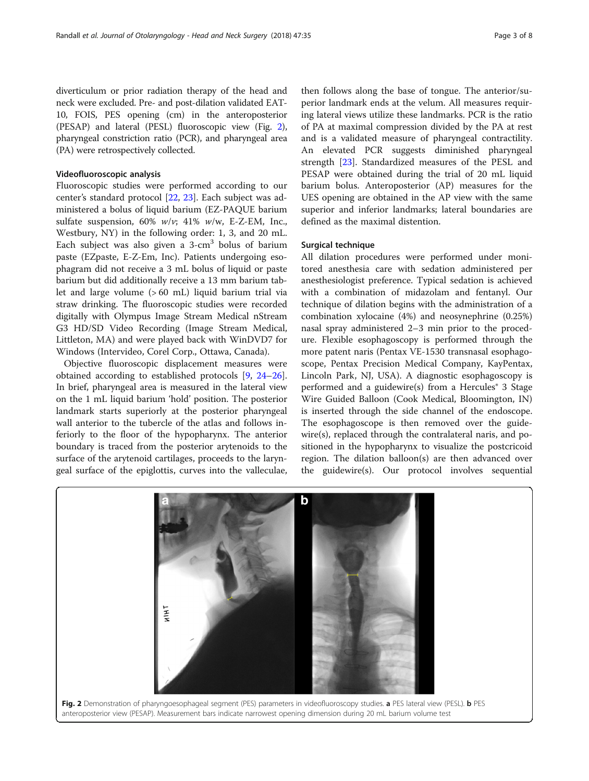diverticulum or prior radiation therapy of the head and neck were excluded. Pre- and post-dilation validated EAT-10, FOIS, PES opening (cm) in the anteroposterior (PESAP) and lateral (PESL) fluoroscopic view (Fig. 2), pharyngeal constriction ratio (PCR), and pharyngeal area (PA) were retrospectively collected.

## Videofluoroscopic analysis

Fluoroscopic studies were performed according to our center's standard protocol [\[22](#page-6-0), [23](#page-6-0)]. Each subject was administered a bolus of liquid barium (EZ-PAQUE barium sulfate suspension,  $60\%$  w/v;  $41\%$  w/w, E-Z-EM, Inc., Westbury, NY) in the following order: 1, 3, and 20 mL. Each subject was also given a  $3$ -cm<sup>3</sup> bolus of barium paste (EZpaste, E-Z-Em, Inc). Patients undergoing esophagram did not receive a 3 mL bolus of liquid or paste barium but did additionally receive a 13 mm barium tablet and large volume (> 60 mL) liquid barium trial via straw drinking. The fluoroscopic studies were recorded digitally with Olympus Image Stream Medical nStream G3 HD/SD Video Recording (Image Stream Medical, Littleton, MA) and were played back with WinDVD7 for Windows (Intervideo, Corel Corp., Ottawa, Canada).

Objective fluoroscopic displacement measures were obtained according to established protocols [\[9](#page-6-0), [24](#page-6-0)–[26](#page-6-0)]. In brief, pharyngeal area is measured in the lateral view on the 1 mL liquid barium 'hold' position. The posterior landmark starts superiorly at the posterior pharyngeal wall anterior to the tubercle of the atlas and follows inferiorly to the floor of the hypopharynx. The anterior boundary is traced from the posterior arytenoids to the surface of the arytenoid cartilages, proceeds to the laryngeal surface of the epiglottis, curves into the valleculae,

then follows along the base of tongue. The anterior/superior landmark ends at the velum. All measures requiring lateral views utilize these landmarks. PCR is the ratio of PA at maximal compression divided by the PA at rest and is a validated measure of pharyngeal contractility. An elevated PCR suggests diminished pharyngeal strength [\[23](#page-6-0)]. Standardized measures of the PESL and PESAP were obtained during the trial of 20 mL liquid barium bolus. Anteroposterior (AP) measures for the UES opening are obtained in the AP view with the same superior and inferior landmarks; lateral boundaries are defined as the maximal distention.

### Surgical technique

All dilation procedures were performed under monitored anesthesia care with sedation administered per anesthesiologist preference. Typical sedation is achieved with a combination of midazolam and fentanyl. Our technique of dilation begins with the administration of a combination xylocaine (4%) and neosynephrine (0.25%) nasal spray administered 2–3 min prior to the procedure. Flexible esophagoscopy is performed through the more patent naris (Pentax VE-1530 transnasal esophagoscope, Pentax Precision Medical Company, KayPentax, Lincoln Park, NJ, USA). A diagnostic esophagoscopy is performed and a guidewire(s) from a Hercules<sup>®</sup> 3 Stage Wire Guided Balloon (Cook Medical, Bloomington, IN) is inserted through the side channel of the endoscope. The esophagoscope is then removed over the guidewire(s), replaced through the contralateral naris, and positioned in the hypopharynx to visualize the postcricoid region. The dilation balloon(s) are then advanced over the guidewire(s). Our protocol involves sequential

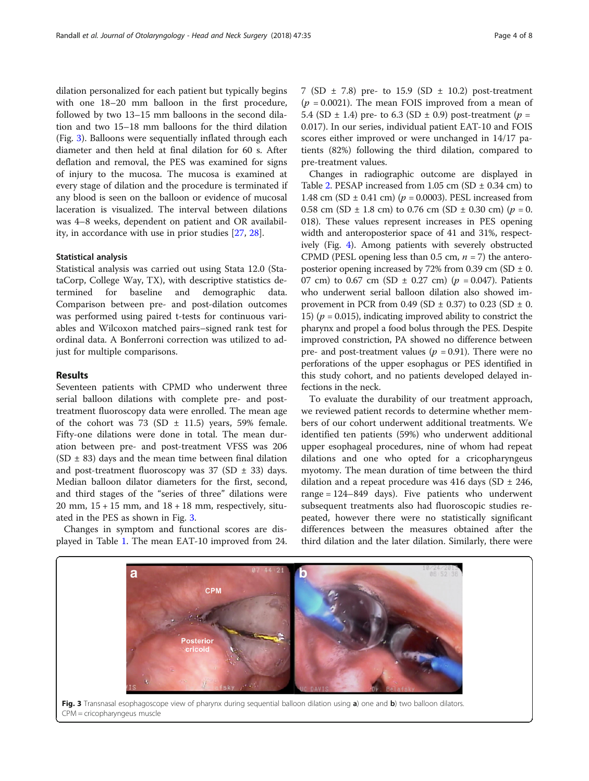<span id="page-3-0"></span>dilation personalized for each patient but typically begins with one 18–20 mm balloon in the first procedure, followed by two 13–15 mm balloons in the second dilation and two 15–18 mm balloons for the third dilation (Fig. 3). Balloons were sequentially inflated through each diameter and then held at final dilation for 60 s. After deflation and removal, the PES was examined for signs of injury to the mucosa. The mucosa is examined at every stage of dilation and the procedure is terminated if any blood is seen on the balloon or evidence of mucosal laceration is visualized. The interval between dilations was 4–8 weeks, dependent on patient and OR availability, in accordance with use in prior studies [\[27](#page-6-0), [28\]](#page-6-0).

#### Statistical analysis

Statistical analysis was carried out using Stata 12.0 (StataCorp, College Way, TX), with descriptive statistics determined for baseline and demographic data. Comparison between pre- and post-dilation outcomes was performed using paired t-tests for continuous variables and Wilcoxon matched pairs–signed rank test for ordinal data. A Bonferroni correction was utilized to adjust for multiple comparisons.

## Results

Seventeen patients with CPMD who underwent three serial balloon dilations with complete pre- and posttreatment fluoroscopy data were enrolled. The mean age of the cohort was 73 (SD  $\pm$  11.5) years, 59% female. Fifty-one dilations were done in total. The mean duration between pre- and post-treatment VFSS was 206  $(SD \pm 83)$  days and the mean time between final dilation and post-treatment fluoroscopy was  $37$  (SD  $\pm$  33) days. Median balloon dilator diameters for the first, second, and third stages of the "series of three" dilations were  $20$  mm,  $15 + 15$  mm, and  $18 + 18$  mm, respectively, situated in the PES as shown in Fig. 3.

Changes in symptom and functional scores are displayed in Table [1.](#page-4-0) The mean EAT-10 improved from 24. 7 (SD ± 7.8) pre- to 15.9 (SD ± 10.2) post-treatment  $(p = 0.0021)$ . The mean FOIS improved from a mean of 5.4 (SD  $\pm$  1.4) pre- to 6.3 (SD  $\pm$  0.9) post-treatment (*p* = 0.017). In our series, individual patient EAT-10 and FOIS scores either improved or were unchanged in 14/17 patients (82%) following the third dilation, compared to pre-treatment values.

Changes in radiographic outcome are displayed in Table [2.](#page-4-0) PESAP increased from 1.05 cm (SD  $\pm$  0.34 cm) to 1.48 cm (SD  $\pm$  0.41 cm) ( $p = 0.0003$ ). PESL increased from 0.58 cm (SD  $\pm$  1.8 cm) to 0.76 cm (SD  $\pm$  0.30 cm) ( $p = 0$ . 018). These values represent increases in PES opening width and anteroposterior space of 41 and 31%, respectively (Fig. [4\)](#page-5-0). Among patients with severely obstructed CPMD (PESL opening less than 0.5 cm,  $n = 7$ ) the anteroposterior opening increased by 72% from 0.39 cm (SD  $\pm$  0. 07 cm) to 0.67 cm (SD  $\pm$  0.27 cm) ( $p = 0.047$ ). Patients who underwent serial balloon dilation also showed improvement in PCR from 0.49 (SD  $\pm$  0.37) to 0.23 (SD  $\pm$  0. 15) ( $p = 0.015$ ), indicating improved ability to constrict the pharynx and propel a food bolus through the PES. Despite improved constriction, PA showed no difference between pre- and post-treatment values ( $p = 0.91$ ). There were no perforations of the upper esophagus or PES identified in this study cohort, and no patients developed delayed infections in the neck.

To evaluate the durability of our treatment approach, we reviewed patient records to determine whether members of our cohort underwent additional treatments. We identified ten patients (59%) who underwent additional upper esophageal procedures, nine of whom had repeat dilations and one who opted for a cricopharyngeus myotomy. The mean duration of time between the third dilation and a repeat procedure was 416 days (SD  $\pm$  246, range = 124–849 days). Five patients who underwent subsequent treatments also had fluoroscopic studies repeated, however there were no statistically significant differences between the measures obtained after the third dilation and the later dilation. Similarly, there were

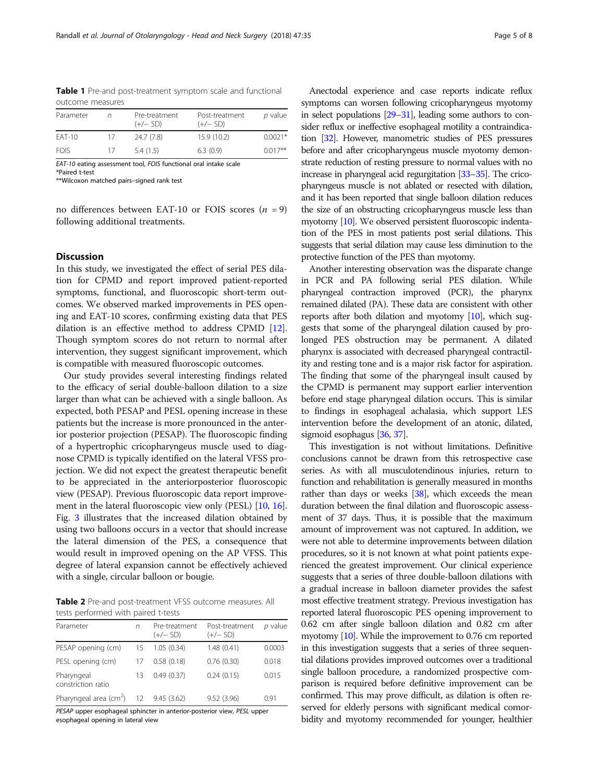<span id="page-4-0"></span>Table 1 Pre-and post-treatment symptom scale and functional outcome measures

| Parameter     |    | Pre-treatment<br>$(+/- SD)$ | Post-treatment<br>$(+/- SD)$ | p value   |
|---------------|----|-----------------------------|------------------------------|-----------|
| <b>FAT-10</b> | 17 | 24.7 (7.8)                  | 15.9 (10.2)                  | $0.0021*$ |
| <b>FOIS</b>   | 17 | 5.4(1.5)                    | 6.3(0.9)                     | $0.017**$ |

EAT-10 eating assessment tool, FOIS functional oral intake scale \*Paired t-test

\*\*Wilcoxon matched pairs–signed rank test

no differences between EAT-10 or FOIS scores  $(n = 9)$ following additional treatments.

## **Discussion**

In this study, we investigated the effect of serial PES dilation for CPMD and report improved patient-reported symptoms, functional, and fluoroscopic short-term outcomes. We observed marked improvements in PES opening and EAT-10 scores, confirming existing data that PES dilation is an effective method to address CPMD [[12](#page-6-0)]. Though symptom scores do not return to normal after intervention, they suggest significant improvement, which is compatible with measured fluoroscopic outcomes.

Our study provides several interesting findings related to the efficacy of serial double-balloon dilation to a size larger than what can be achieved with a single balloon. As expected, both PESAP and PESL opening increase in these patients but the increase is more pronounced in the anterior posterior projection (PESAP). The fluoroscopic finding of a hypertrophic cricopharyngeus muscle used to diagnose CPMD is typically identified on the lateral VFSS projection. We did not expect the greatest therapeutic benefit to be appreciated in the anteriorposterior fluoroscopic view (PESAP). Previous fluoroscopic data report improvement in the lateral fluoroscopic view only (PESL) [\[10,](#page-6-0) [16](#page-6-0)]. Fig. [3](#page-3-0) illustrates that the increased dilation obtained by using two balloons occurs in a vector that should increase the lateral dimension of the PES, a consequence that would result in improved opening on the AP VFSS. This degree of lateral expansion cannot be effectively achieved with a single, circular balloon or bougie.

Table 2 Pre-and post-treatment VFSS outcome measures. All tests performed with paired t-tests

| Parameter                                         | n  | Pre-treatment<br>$(+/- SD)$ | Post-treatment<br>$(+/- SD)$ | p value |
|---------------------------------------------------|----|-----------------------------|------------------------------|---------|
| PESAP opening (cm)                                | 15 | 1.05(0.34)                  | 1.48(0.41)                   | 0.0003  |
| PESL opening (cm)                                 | 17 | 0.58(0.18)                  | 0.76(0.30)                   | 0.018   |
| Pharyngeal<br>constriction ratio                  | 13 | 0.49(0.37)                  | 0.24(0.15)                   | 0.015   |
| Pharyngeal area (cm <sup>2</sup> ) 12 9.45 (3.62) |    |                             | 9.52 (3.96)                  | 0.91    |

PESAP upper esophageal sphincter in anterior-posterior view, PESL upper esophageal opening in lateral view

Anectodal experience and case reports indicate reflux symptoms can worsen following cricopharyngeus myotomy in select populations [\[29](#page-6-0)–[31](#page-7-0)], leading some authors to consider reflux or ineffective esophageal motility a contraindication [[32\]](#page-7-0). However, manometric studies of PES pressures before and after cricopharyngeus muscle myotomy demonstrate reduction of resting pressure to normal values with no increase in pharyngeal acid regurgitation [\[33](#page-7-0)–[35](#page-7-0)]. The cricopharyngeus muscle is not ablated or resected with dilation, and it has been reported that single balloon dilation reduces the size of an obstructing cricopharyngeus muscle less than myotomy [\[10](#page-6-0)]. We observed persistent fluoroscopic indentation of the PES in most patients post serial dilations. This suggests that serial dilation may cause less diminution to the protective function of the PES than myotomy.

Another interesting observation was the disparate change in PCR and PA following serial PES dilation. While pharyngeal contraction improved (PCR), the pharynx remained dilated (PA). These data are consistent with other reports after both dilation and myotomy [\[10](#page-6-0)], which suggests that some of the pharyngeal dilation caused by prolonged PES obstruction may be permanent. A dilated pharynx is associated with decreased pharyngeal contractility and resting tone and is a major risk factor for aspiration. The finding that some of the pharyngeal insult caused by the CPMD is permanent may support earlier intervention before end stage pharyngeal dilation occurs. This is similar to findings in esophageal achalasia, which support LES intervention before the development of an atonic, dilated, sigmoid esophagus [\[36,](#page-7-0) [37\]](#page-7-0).

This investigation is not without limitations. Definitive conclusions cannot be drawn from this retrospective case series. As with all musculotendinous injuries, return to function and rehabilitation is generally measured in months rather than days or weeks  $[38]$ , which exceeds the mean duration between the final dilation and fluoroscopic assessment of 37 days. Thus, it is possible that the maximum amount of improvement was not captured. In addition, we were not able to determine improvements between dilation procedures, so it is not known at what point patients experienced the greatest improvement. Our clinical experience suggests that a series of three double-balloon dilations with a gradual increase in balloon diameter provides the safest most effective treatment strategy. Previous investigation has reported lateral fluoroscopic PES opening improvement to 0.62 cm after single balloon dilation and 0.82 cm after myotomy [[10\]](#page-6-0). While the improvement to 0.76 cm reported in this investigation suggests that a series of three sequential dilations provides improved outcomes over a traditional single balloon procedure, a randomized prospective comparison is required before definitive improvement can be confirmed. This may prove difficult, as dilation is often reserved for elderly persons with significant medical comorbidity and myotomy recommended for younger, healthier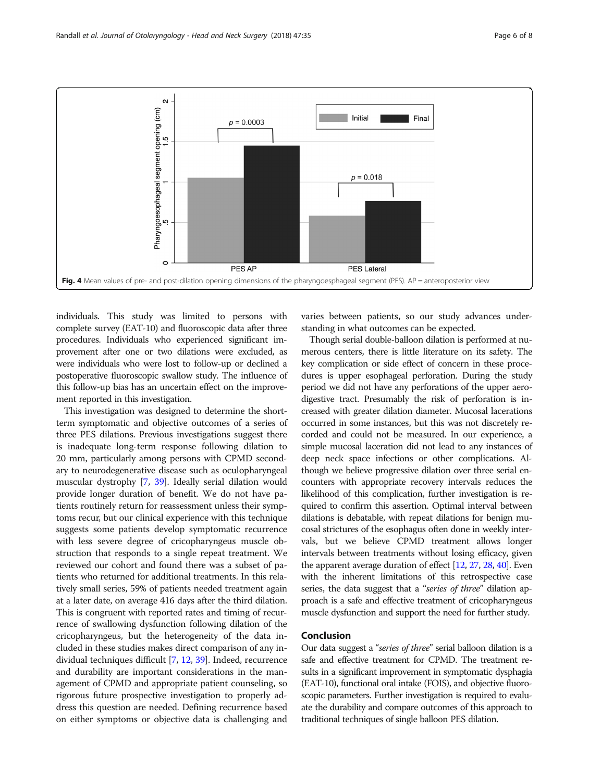<span id="page-5-0"></span>

individuals. This study was limited to persons with complete survey (EAT-10) and fluoroscopic data after three procedures. Individuals who experienced significant improvement after one or two dilations were excluded, as were individuals who were lost to follow-up or declined a postoperative fluoroscopic swallow study. The influence of this follow-up bias has an uncertain effect on the improvement reported in this investigation.

This investigation was designed to determine the shortterm symptomatic and objective outcomes of a series of three PES dilations. Previous investigations suggest there is inadequate long-term response following dilation to 20 mm, particularly among persons with CPMD secondary to neurodegenerative disease such as oculopharyngeal muscular dystrophy [\[7,](#page-6-0) [39\]](#page-7-0). Ideally serial dilation would provide longer duration of benefit. We do not have patients routinely return for reassessment unless their symptoms recur, but our clinical experience with this technique suggests some patients develop symptomatic recurrence with less severe degree of cricopharyngeus muscle obstruction that responds to a single repeat treatment. We reviewed our cohort and found there was a subset of patients who returned for additional treatments. In this relatively small series, 59% of patients needed treatment again at a later date, on average 416 days after the third dilation. This is congruent with reported rates and timing of recurrence of swallowing dysfunction following dilation of the cricopharyngeus, but the heterogeneity of the data included in these studies makes direct comparison of any individual techniques difficult [[7](#page-6-0), [12,](#page-6-0) [39](#page-7-0)]. Indeed, recurrence and durability are important considerations in the management of CPMD and appropriate patient counseling, so rigorous future prospective investigation to properly address this question are needed. Defining recurrence based on either symptoms or objective data is challenging and

varies between patients, so our study advances understanding in what outcomes can be expected.

Though serial double-balloon dilation is performed at numerous centers, there is little literature on its safety. The key complication or side effect of concern in these procedures is upper esophageal perforation. During the study period we did not have any perforations of the upper aerodigestive tract. Presumably the risk of perforation is increased with greater dilation diameter. Mucosal lacerations occurred in some instances, but this was not discretely recorded and could not be measured. In our experience, a simple mucosal laceration did not lead to any instances of deep neck space infections or other complications. Although we believe progressive dilation over three serial encounters with appropriate recovery intervals reduces the likelihood of this complication, further investigation is required to confirm this assertion. Optimal interval between dilations is debatable, with repeat dilations for benign mucosal strictures of the esophagus often done in weekly intervals, but we believe CPMD treatment allows longer intervals between treatments without losing efficacy, given the apparent average duration of effect [[12](#page-6-0), [27](#page-6-0), [28](#page-6-0), [40](#page-7-0)]. Even with the inherent limitations of this retrospective case series, the data suggest that a "series of three" dilation approach is a safe and effective treatment of cricopharyngeus muscle dysfunction and support the need for further study.

## Conclusion

Our data suggest a "series of three" serial balloon dilation is a safe and effective treatment for CPMD. The treatment results in a significant improvement in symptomatic dysphagia (EAT-10), functional oral intake (FOIS), and objective fluoroscopic parameters. Further investigation is required to evaluate the durability and compare outcomes of this approach to traditional techniques of single balloon PES dilation.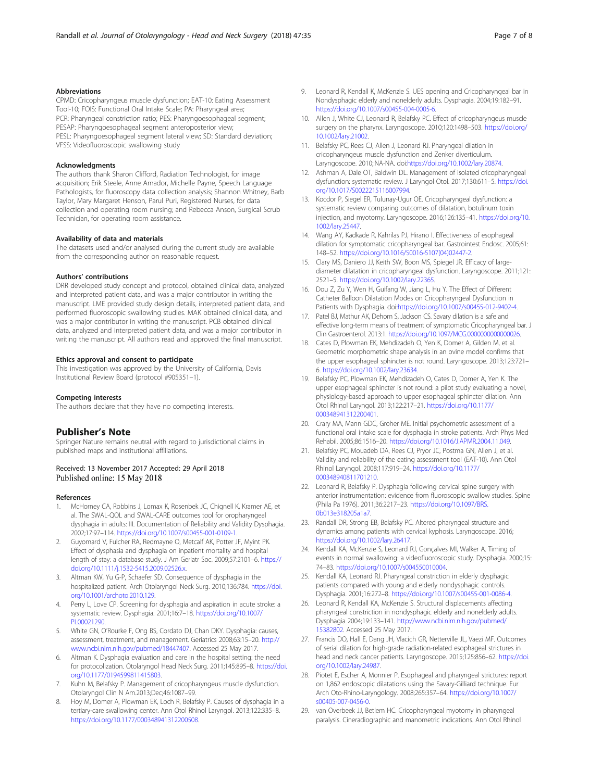## <span id="page-6-0"></span>Abbreviations

CPMD: Cricopharyngeus muscle dysfunction; EAT-10: Eating Assessment Tool-10; FOIS: Functional Oral Intake Scale; PA: Pharyngeal area; PCR: Pharyngeal constriction ratio; PES: Pharyngoesophageal segment; PESAP: Pharyngoesophageal segment anteroposterior view; PESL: Pharyngoesophageal segment lateral view; SD: Standard deviation; VFSS: Videofluoroscopic swallowing study

#### Acknowledgments

The authors thank Sharon Clifford, Radiation Technologist, for image acquisition; Erik Steele, Anne Amador, Michelle Payne, Speech Language Pathologists, for fluoroscopy data collection analysis; Shannon Whitney, Barb Taylor, Mary Margaret Henson, Parul Puri, Registered Nurses, for data collection and operating room nursing; and Rebecca Anson, Surgical Scrub Technician, for operating room assistance.

#### Availability of data and materials

The datasets used and/or analysed during the current study are available from the corresponding author on reasonable request.

#### Authors' contributions

DRR developed study concept and protocol, obtained clinical data, analyzed and interpreted patient data, and was a major contributor in writing the manuscript. LME provided study design details, interpreted patient data, and performed fluoroscopic swallowing studies. MAK obtained clinical data, and was a major contributor in writing the manuscript. PCB obtained clinical data, analyzed and interpreted patient data, and was a major contributor in writing the manuscript. All authors read and approved the final manuscript.

#### Ethics approval and consent to participate

This investigation was approved by the University of California, Davis Institutional Review Board (protocol #905351–1).

#### Competing interests

The authors declare that they have no competing interests.

## Publisher's Note

Springer Nature remains neutral with regard to jurisdictional claims in published maps and institutional affiliations.

## Received: 13 November 2017 Accepted: 29 April 2018 Published online: 15 May 2018

#### References

- 1. McHorney CA, Robbins J, Lomax K, Rosenbek JC, Chignell K, Kramer AE, et al. The SWAL-QOL and SWAL-CARE outcomes tool for oropharyngeal dysphagia in adults: III. Documentation of Reliability and Validity Dysphagia. 2002;17:97–114. [https://doi.org/10.1007/s00455-001-0109-1.](https://doi.org/10.1007/s00455-001-0109-1)
- 2. Guyomard V, Fulcher RA, Redmayne O, Metcalf AK, Potter JF, Myint PK. Effect of dysphasia and dysphagia on inpatient mortality and hospital length of stay: a database study. J Am Geriatr Soc. 2009;57:2101–6. [https://](https://doi.org/10.1111/j.1532-5415.2009.02526.x) [doi.org/10.1111/j.1532-5415.2009.02526.x.](https://doi.org/10.1111/j.1532-5415.2009.02526.x)
- 3. Altman KW, Yu G-P, Schaefer SD. Consequence of dysphagia in the hospitalized patient. Arch Otolaryngol Neck Surg. 2010;136:784. [https://doi.](https://doi.org/10.1001/archoto.2010.129) [org/10.1001/archoto.2010.129](https://doi.org/10.1001/archoto.2010.129).
- Perry L, Love CP. Screening for dysphagia and aspiration in acute stroke: a systematic review. Dysphagia. 2001;16:7–18. [https://doi.org/10.1007/](https://doi.org/10.1007/PL00021290) [PL00021290.](https://doi.org/10.1007/PL00021290)
- 5. White GN, O'Rourke F, Ong BS, Cordato DJ, Chan DKY. Dysphagia: causes, assessment, treatment, and management. Geriatrics 2008;63:15–20. [http://](http://www.ncbi.nlm.nih.gov/pubmed/18447407) [www.ncbi.nlm.nih.gov/pubmed/18447407.](http://www.ncbi.nlm.nih.gov/pubmed/18447407) Accessed 25 May 2017.
- 6. Altman K. Dysphagia evaluation and care in the hospital setting: the need for protocolization. Otolaryngol Head Neck Surg. 2011;145:895–8. [https://doi.](https://doi.org/10.1177/0194599811415803) [org/10.1177/0194599811415803.](https://doi.org/10.1177/0194599811415803)
- 7. Kuhn M, Belafsky P. Management of cricopharyngeus muscle dysfunction. Otolaryngol Clin N Am.2013;Dec;46:1087–99.
- 8. Hoy M, Domer A, Plowman EK, Loch R, Belafsky P. Causes of dysphagia in a tertiary-care swallowing center. Ann Otol Rhinol Laryngol. 2013;122:335–8. <https://doi.org/10.1177/000348941312200508>.
- 9. Leonard R, Kendall K, McKenzie S. UES opening and Cricopharyngeal bar in Nondysphagic elderly and nonelderly adults. Dysphagia. 2004;19:182–91. <https://doi.org/10.1007/s00455-004-0005-6>.
- 10. Allen J, White CJ, Leonard R, Belafsky PC. Effect of cricopharyngeus muscle surgery on the pharynx. Laryngoscope. 2010;120:1498–503. [https://doi.org/](https://doi.org/10.1002/lary.21002) [10.1002/lary.21002.](https://doi.org/10.1002/lary.21002)
- 11. Belafsky PC, Rees CJ, Allen J, Leonard RJ. Pharyngeal dilation in cricopharyngeus muscle dysfunction and Zenker diverticulum. Laryngoscope. 2010;:NA-NA. doi:<https://doi.org/10.1002/lary.20874>.
- 12. Ashman A, Dale OT, Baldwin DL. Management of isolated cricopharyngeal dysfunction: systematic review. J Laryngol Otol. 2017;130:611–5. [https://doi.](https://doi.org/10.1017/S0022215116007994) [org/10.1017/S0022215116007994.](https://doi.org/10.1017/S0022215116007994)
- 13. Kocdor P, Siegel ER, Tulunay-Ugur OE. Cricopharyngeal dysfunction: a systematic review comparing outcomes of dilatation, botulinum toxin injection, and myotomy. Laryngoscope. 2016;126:135–41. [https://doi.org/10.](https://doi.org/10.1002/lary.25447) [1002/lary.25447.](https://doi.org/10.1002/lary.25447)
- 14. Wang AY, Kadkade R, Kahrilas PJ, Hirano I. Effectiveness of esophageal dilation for symptomatic cricopharyngeal bar. Gastrointest Endosc. 2005;61: 148–52. [https://doi.org/10.1016/S0016-5107\(04\)02447-2.](https://doi.org/10.1016/S0016-5107(04)02447-2)
- 15. Clary MS, Daniero JJ, Keith SW, Boon MS, Spiegel JR. Efficacy of largediameter dilatation in cricopharyngeal dysfunction. Laryngoscope. 2011;121: 2521–5. <https://doi.org/10.1002/lary.22365>.
- 16. Dou Z, Zu Y, Wen H, Guifang W, Jiang L, Hu Y. The Effect of Different Catheter Balloon Dilatation Modes on Cricopharyngeal Dysfunction in Patients with Dysphagia. doi[:https://doi.org/10.1007/s00455-012-9402-4.](https://doi.org/10.1007/s00455-012-9402-4)
- 17. Patel BJ, Mathur AK, Dehom S, Jackson CS. Savary dilation is a safe and effective long-term means of treatment of symptomatic Cricopharyngeal bar. J Clin Gastroenterol. 2013:1. [https://doi.org/10.1097/MCG.0000000000000026.](https://doi.org/10.1097/MCG.0000000000000026)
- 18. Cates D, Plowman EK, Mehdizadeh O, Yen K, Domer A, Gilden M, et al. Geometric morphometric shape analysis in an ovine model confirms that the upper esophageal sphincter is not round. Laryngoscope. 2013;123:721– 6. [https://doi.org/10.1002/lary.23634.](https://doi.org/10.1002/lary.23634)
- 19. Belafsky PC, Plowman EK, Mehdizadeh O, Cates D, Domer A, Yen K. The upper esophageal sphincter is not round: a pilot study evaluating a novel, physiology-based approach to upper esophageal sphincter dilation. Ann Otol Rhinol Laryngol. 2013;122:217–21. [https://doi.org/10.1177/](https://doi.org/10.1177/000348941312200401) [000348941312200401](https://doi.org/10.1177/000348941312200401).
- 20. Crary MA, Mann GDC, Groher ME. Initial psychometric assessment of a functional oral intake scale for dysphagia in stroke patients. Arch Phys Med Rehabil. 2005;86:1516–20. [https://doi.org/10.1016/J.APMR.2004.11.049.](https://doi.org/10.1016/J.APMR.2004.11.049)
- 21. Belafsky PC, Mouadeb DA, Rees CJ, Pryor JC, Postma GN, Allen J, et al. Validity and reliability of the eating assessment tool (EAT-10). Ann Otol Rhinol Laryngol. 2008;117:919–24. [https://doi.org/10.1177/](https://doi.org/10.1177/000348940811701210) [000348940811701210](https://doi.org/10.1177/000348940811701210).
- 22. Leonard R, Belafsky P. Dysphagia following cervical spine surgery with anterior instrumentation: evidence from fluoroscopic swallow studies. Spine (Phila Pa 1976). 2011;36:2217–23. [https://doi.org/10.1097/BRS.](https://doi.org/10.1097/BRS.0b013e318205a1a7) [0b013e318205a1a7](https://doi.org/10.1097/BRS.0b013e318205a1a7).
- 23. Randall DR, Strong EB, Belafsky PC. Altered pharyngeal structure and dynamics among patients with cervical kyphosis. Laryngoscope. 2016; <https://doi.org/10.1002/lary.26417>.
- 24. Kendall KA, McKenzie S, Leonard RJ, Gonçalves MI, Walker A. Timing of events in normal swallowing: a videofluoroscopic study. Dysphagia. 2000;15: 74–83. <https://doi.org/10.1007/s004550010004>.
- 25. Kendall KA, Leonard RJ. Pharyngeal constriction in elderly dysphagic patients compared with young and elderly nondysphagic controls. Dysphagia. 2001;16:272–8. [https://doi.org/10.1007/s00455-001-0086-4.](https://doi.org/10.1007/s00455-001-0086-4)
- 26. Leonard R, Kendall KA, McKenzie S. Structural displacements affecting pharyngeal constriction in nondysphagic elderly and nonelderly adults. Dysphagia 2004;19:133–141. [http://www.ncbi.nlm.nih.gov/pubmed/](http://www.ncbi.nlm.nih.gov/pubmed/15382802) [15382802](http://www.ncbi.nlm.nih.gov/pubmed/15382802). Accessed 25 May 2017.
- 27. Francis DO, Hall E, Dang JH, Vlacich GR, Netterville JL, Vaezi MF. Outcomes of serial dilation for high-grade radiation-related esophageal strictures in head and neck cancer patients. Laryngoscope. 2015;125:856–62. [https://doi.](https://doi.org/10.1002/lary.24987) [org/10.1002/lary.24987](https://doi.org/10.1002/lary.24987).
- 28. Piotet E, Escher A, Monnier P. Esophageal and pharyngeal strictures: report on 1,862 endoscopic dilatations using the Savary-Gilliard technique. Eur Arch Oto-Rhino-Laryngology. 2008;265:357–64. [https://doi.org/10.1007/](https://doi.org/10.1007/s00405-007-0456-0) [s00405-007-0456-0.](https://doi.org/10.1007/s00405-007-0456-0)
- 29. van Overbeek JJ, Betlem HC. Cricopharyngeal myotomy in pharyngeal paralysis. Cineradiographic and manometric indications. Ann Otol Rhinol